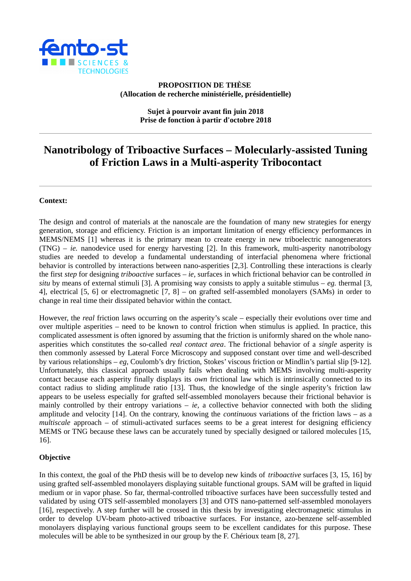

# **PROPOSITION DE THÈSE (Allocation de recherche ministérielle, présidentielle)**

**Sujet à pourvoir avant fin juin 2018 Prise de fonction à partir d'octobre 2018**

# **Nanotribology of Triboactive Surfaces – Molecularly-assisted Tuning of Friction Laws in a Multi-asperity Tribocontact**

## **Context:**

The design and control of materials at the nanoscale are the foundation of many new strategies for energy generation, storage and efficiency. Friction is an important limitation of energy efficiency performances in MEMS/NEMS [1] whereas it is the primary mean to create energy in new triboelectric nanogenerators (TNG) – *ie.* nanodevice used for energy harvesting [2]. In this framework, multi-asperity nanotribology studies are needed to develop a fundamental understanding of interfacial phenomena where frictional behavior is controlled by interactions between nano-asperities [2,3]. Controlling these interactions is clearly the first *step* for designing *triboactive* surfaces – *ie,* surfaces in which frictional behavior can be controlled *in situ* by means of external stimuli [3]. A promising way consists to apply a suitable stimulus – *eg.* thermal [3, 4], electrical [5, 6] or electromagnetic [7, 8] – on grafted self-assembled monolayers (SAMs) in order to change in real time their dissipated behavior within the contact.

However, the *real* friction laws occurring on the asperity's scale – especially their evolutions over time and over multiple asperities – need to be known to control friction when stimulus is applied. In practice, this complicated assessment is often ignored by assuming that the friction is uniformly shared on the whole nanoasperities which constitutes the so-called *real contact area*. The frictional behavior of a *single* asperity is then commonly assessed by Lateral Force Microscopy and supposed constant over time and well-described by various relationships – *eg,* Coulomb's dry friction, Stokes' viscous friction or Mindlin's partial slip [9-12]. Unfortunately, this classical approach usually fails when dealing with MEMS involving multi-asperity contact because each asperity finally displays its *own* frictional law which is intrinsically connected to its contact radius to sliding amplitude ratio [13]. Thus, the knowledge of the single asperity's friction law appears to be useless especially for grafted self-assembled monolayers because their frictional behavior is mainly controlled by their entropy variations – *ie,* a collective behavior connected with both the sliding amplitude and velocity [14]. On the contrary, knowing the *continuous* variations of the friction laws – as a *multiscale* approach – of stimuli-activated surfaces seems to be a great interest for designing efficiency MEMS or TNG because these laws can be accurately tuned by specially designed or tailored molecules [15, 16].

#### **Objective**

In this context, the goal of the PhD thesis will be to develop new kinds of *triboactive* surfaces [3, 15, 16] by using grafted self-assembled monolayers displaying suitable functional groups. SAM will be grafted in liquid medium or in vapor phase. So far, thermal-controlled triboactive surfaces have been successfully tested and validated by using OTS self-assembled monolayers [3] and OTS nano-patterned self-assembled monolayers [16], respectively. A step further will be crossed in this thesis by investigating electromagnetic stimulus in order to develop UV-beam photo-actived triboactive surfaces. For instance, azo-benzene self-assembled monolayers displaying various functional groups seem to be excellent candidates for this purpose. These molecules will be able to be synthesized in our group by the F. Chérioux team [8, 27].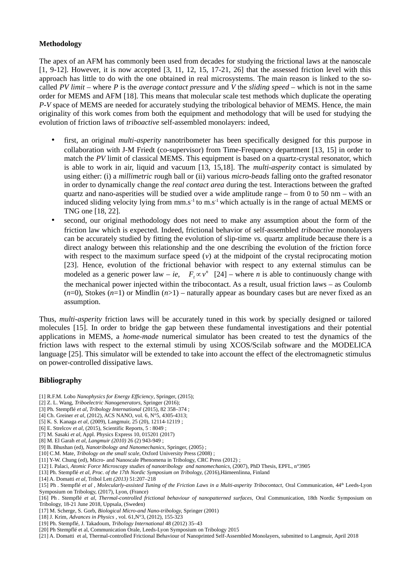## **Methodology**

The apex of an AFM has commonly been used from decades for studying the frictional laws at the nanoscale [1, 9-12]. However, it is now accepted [3, 11, 12, 15, 17-21, 26] that the assessed friction level with this approach has little to do with the one obtained in real microsystems. The main reason is linked to the socalled *PV limit* – where *P* is the *average contact pressure* and *V* the *sliding speed* – which is not in the same order for MEMS and AFM [18]. This means that molecular scale test methods which duplicate the operating *P-V* space of MEMS are needed for accurately studying the tribological behavior of MEMS. Hence, the main originality of this work comes from both the equipment and methodology that will be used for studying the evolution of friction laws of *triboactive* self-assembled monolayers: indeed,

- first, an original *multi-asperity* nanotribometer has been specifically designed for this purpose in collaboration with J-M Friedt (co-supervisor) from Time-Frequency department [13, 15] in order to match the *PV* limit of classical MEMS. This equipment is based on a quartz-crystal resonator, which is able to work in air, liquid and vacuum [13, 15,18]. The *multi-asperity* contact is simulated by using either: (i) a *millimetric* rough ball or (ii) various *micro-beads* falling onto the grafted resonator in order to dynamically change the *real contact area* during the test. Interactions between the grafted quartz and nano-asperities will be studied over a wide amplitude range – from 0 to 50 nm – with an induced sliding velocity lying from  $mm.s^{-1}$  to  $ms^{-1}$  which actually is in the range of actual MEMS or TNG one [18, 22].
- second, our original methodology does not need to make any assumption about the form of the friction law which is expected. Indeed, frictional behavior of self-assembled *triboactive* monolayers can be accurately studied by fitting the evolution of slip-time *vs.* quartz amplitude because there is a direct analogy between this relationship and the one describing the evolution of the friction force with respect to the maximum surface speed  $(v)$  at the midpoint of the crystal reciprocating motion [23]. Hence, evolution of the frictional behavior with respect to any external stimulus can be modeled as a generic power law – *ie*,  $F<sub>t</sub> \propto v<sup>n</sup>$  [24] – where *n* is able to continuously change with the mechanical power injected within the tribocontact. As a result, usual friction laws – as Coulomb (*n*=0), Stokes (*n*=1) or Mindlin (*n*>1) – naturally appear as boundary cases but are never fixed as an assumption*.*

Thus, *multi-asperity* friction laws will be accurately tuned in this work by specially designed or tailored molecules [15]. In order to bridge the gap between these fundamental investigations and their potential applications in MEMS, a *home-made* numerical simulator has been created to test the dynamics of the friction laws with respect to the external stimuli by using XCOS/Scilab software and the MODELICA language [25]. This simulator will be extended to take into account the effect of the electromagnetic stimulus on power-controlled dissipative laws.

#### **Bibliography**

- [1] R.F.M. Lobo *Nanophysics for Energy Efficiency*, Springer, (2015);
- [2] Z. L. Wang, *Triboelectric Nanogenerators,* Springer (2016);
- [3] Ph. Stempflé *et al*, *Tribology International* (2015), 82 358–374 ;
- [4] Ch. Greiner *et al,* (2012), ACS NANO, vol. 6, N°5, 4305-4313;
- [5] K. S. Kanaga *et al,* (2009), Langmuir, 25 (20), 12114-12119 ;
- [6] E. Strelcov *et al,* (2015), Scientific Reports, 5 : 8049 ;
- [7] M. Sasaki *et al,* Appl. Physics Express 10, 015201 (2017)
- [8] M. El Garah *et al*, *Langmuir (2010)* 26 (2) 943-949 ;
- [9] B. Bhushan (ed), *Nanotribology and Nanomechanics,* Springer, (2005) ;
- [10] C.M. Mate, *Tribology on the small scale,* Oxford University Press (2008) ;
- [11] Y-W. Chung (ed), Micro- and Nanoscale Phenomena in Tribology, CRC Press (2012) ;
- [12] I. Palaci, *Atomic Force Microscopy studies of nanotribology and nanomechanics,* (2007), PhD Thesis, EPFL, n°3905
- [13] Ph. Stempflé *et al*, *Proc. of the 17th Nordic Symposium on Tribology,* (2016)*,*Hämeenlinna, Finland
- [14] A. Domatti *et al,* Tribol Lett *(2013)* 51:207–218
- [15] Ph . Stempflé et al , Molecularly-assisted Tuning of the Friction Laws in a Multi-asperity Tribocontact, Oral Communication, 44<sup>th</sup> Leeds-Lyon Symposium on Tribology, (2017), Lyon, (France)
- [16] Ph . Stempflé *et al*, *Thermal-controlled frictional behaviour of nanopatterned surfaces,* Oral Communication, 18th Nordic Symposium on Tribology, 18-21 June 2018, Uppsala, (Sweden)
- [17] M. Scherge, S. Gorb, *Biological Micro-and Nano-tribology,* Springer (2001)
- [18] J. Krim, *Advances in Physics* , vol. 61,N°3, (2012), 155-323
- [19] Ph. Stempflé, J. Takadoum, *Tribology International* 48 (2012) 35–43
- [20] Ph Stempflé et al, Communication Orale, Leeds-Lyon Symposium on Tribology 2015
- [21] A. Domatti et al, Thermal-controlled Frictional Behaviour of Nanoprinted Self-Assembled Monolayers, submitted to Langmuir, April 2018